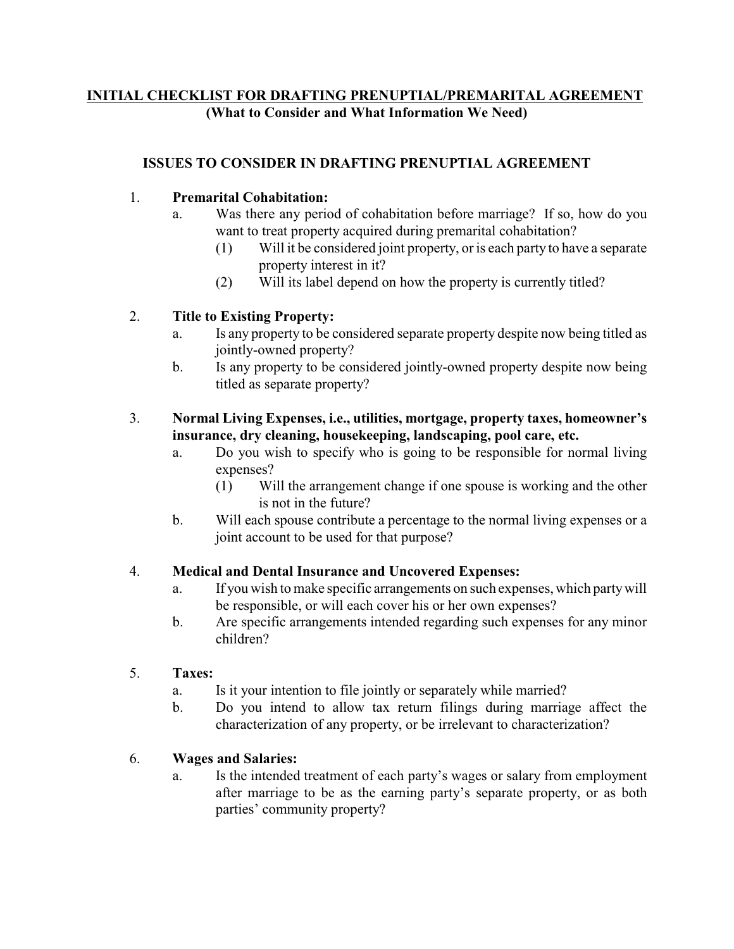# **INITIAL CHECKLIST FOR DRAFTING PRENUPTIAL/PREMARITAL AGREEMENT (What to Consider and What Information We Need)**

### **ISSUES TO CONSIDER IN DRAFTING PRENUPTIAL AGREEMENT**

### 1. **Premarital Cohabitation:**

- a. Was there any period of cohabitation before marriage? If so, how do you want to treat property acquired during premarital cohabitation?
	- (1) Will it be considered joint property, or is each party to have a separate property interest in it?
	- (2) Will its label depend on how the property is currently titled?

### 2. **Title to Existing Property:**

- a. Is any property to be considered separate property despite now being titled as jointly-owned property?
- b. Is any property to be considered jointly-owned property despite now being titled as separate property?

### 3. **Normal Living Expenses, i.e., utilities, mortgage, property taxes, homeowner's insurance, dry cleaning, housekeeping, landscaping, pool care, etc.**

- a. Do you wish to specify who is going to be responsible for normal living expenses?
	- (1) Will the arrangement change if one spouse is working and the other is not in the future?
- b. Will each spouse contribute a percentage to the normal living expenses or a joint account to be used for that purpose?

### 4. **Medical and Dental Insurance and Uncovered Expenses:**

- a. If you wish to make specific arrangements on such expenses, which partywill be responsible, or will each cover his or her own expenses?
- b. Are specific arrangements intended regarding such expenses for any minor children?

### 5. **Taxes:**

- a. Is it your intention to file jointly or separately while married?
- b. Do you intend to allow tax return filings during marriage affect the characterization of any property, or be irrelevant to characterization?

### 6. **Wages and Salaries:**

a. Is the intended treatment of each party's wages or salary from employment after marriage to be as the earning party's separate property, or as both parties' community property?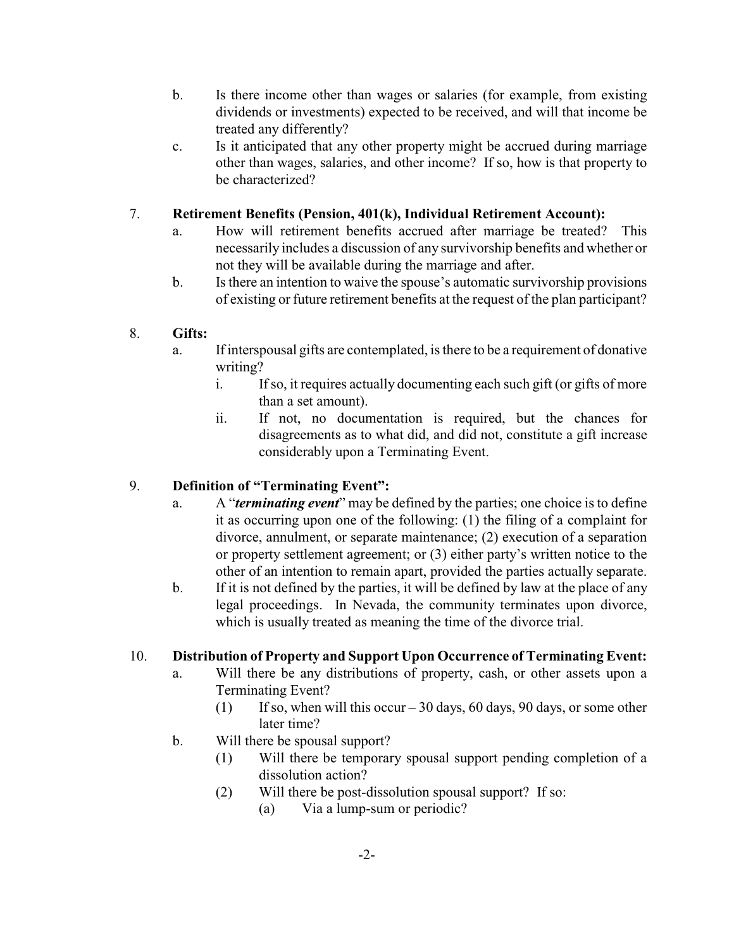- b. Is there income other than wages or salaries (for example, from existing dividends or investments) expected to be received, and will that income be treated any differently?
- c. Is it anticipated that any other property might be accrued during marriage other than wages, salaries, and other income? If so, how is that property to be characterized?

### 7. **Retirement Benefits (Pension, 401(k), Individual Retirement Account):**

- a. How will retirement benefits accrued after marriage be treated? This necessarily includes a discussion of any survivorship benefits and whether or not they will be available during the marriage and after.
- b. Is there an intention to waive the spouse's automatic survivorship provisions of existing or future retirement benefits at the request of the plan participant?

### 8. **Gifts:**

- a. If interspousal gifts are contemplated, is there to be a requirement of donative writing?
	- i. If so, it requires actually documenting each such gift (or gifts of more than a set amount).
	- ii. If not, no documentation is required, but the chances for disagreements as to what did, and did not, constitute a gift increase considerably upon a Terminating Event.

# 9. **Definition of "Terminating Event":**

- a. A "*terminating event*" may be defined by the parties; one choice is to define it as occurring upon one of the following: (1) the filing of a complaint for divorce, annulment, or separate maintenance; (2) execution of a separation or property settlement agreement; or (3) either party's written notice to the other of an intention to remain apart, provided the parties actually separate.
- b. If it is not defined by the parties, it will be defined by law at the place of any legal proceedings. In Nevada, the community terminates upon divorce, which is usually treated as meaning the time of the divorce trial.

# 10. **Distribution of Property and Support Upon Occurrence of Terminating Event:**

- a. Will there be any distributions of property, cash, or other assets upon a Terminating Event?
	- (1) If so, when will this occur 30 days, 60 days, 90 days, or some other later time?
- b. Will there be spousal support?
	- (1) Will there be temporary spousal support pending completion of a dissolution action?
	- (2) Will there be post-dissolution spousal support? If so:
		- (a) Via a lump-sum or periodic?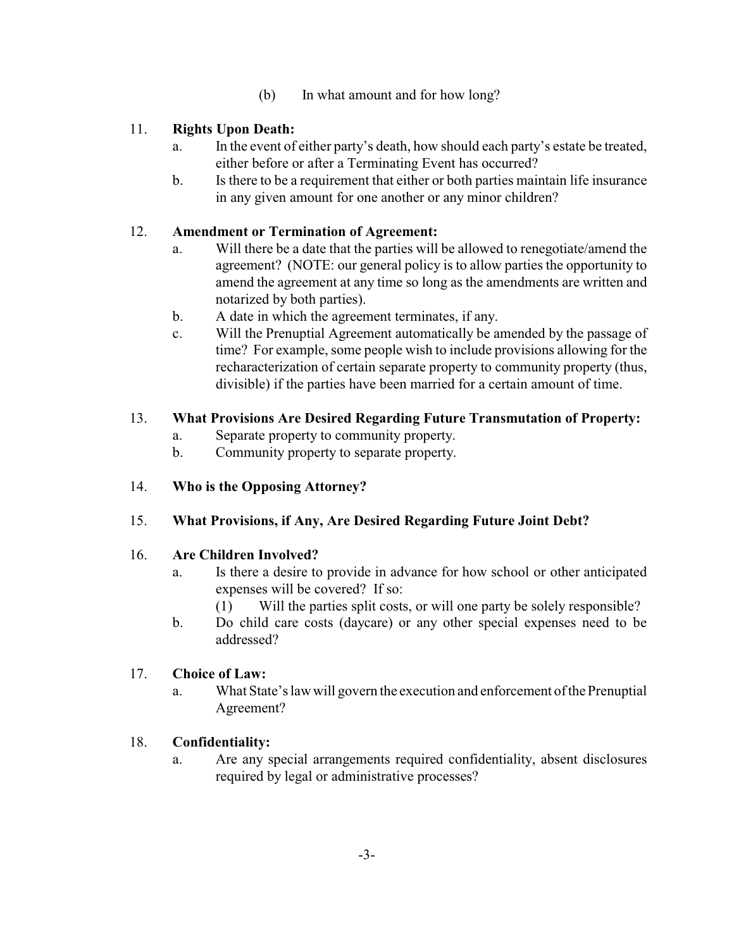(b) In what amount and for how long?

# 11. **Rights Upon Death:**

- a. In the event of either party's death, how should each party's estate be treated, either before or after a Terminating Event has occurred?
- b. Is there to be a requirement that either or both parties maintain life insurance in any given amount for one another or any minor children?

### 12. **Amendment or Termination of Agreement:**

- a. Will there be a date that the parties will be allowed to renegotiate/amend the agreement? (NOTE: our general policy is to allow parties the opportunity to amend the agreement at any time so long as the amendments are written and notarized by both parties).
- b. A date in which the agreement terminates, if any.
- c. Will the Prenuptial Agreement automatically be amended by the passage of time? For example, some people wish to include provisions allowing for the recharacterization of certain separate property to community property (thus, divisible) if the parties have been married for a certain amount of time.

### 13. **What Provisions Are Desired Regarding Future Transmutation of Property:**

- a. Separate property to community property.
- b. Community property to separate property.

# 14. **Who is the Opposing Attorney?**

### 15. **What Provisions, if Any, Are Desired Regarding Future Joint Debt?**

### 16. **Are Children Involved?**

- a. Is there a desire to provide in advance for how school or other anticipated expenses will be covered? If so:
	- (1) Will the parties split costs, or will one party be solely responsible?
- b. Do child care costs (daycare) or any other special expenses need to be addressed?

### 17. **Choice of Law:**

a. What State's law will govern the execution and enforcement of the Prenuptial Agreement?

### 18. **Confidentiality:**

a. Are any special arrangements required confidentiality, absent disclosures required by legal or administrative processes?